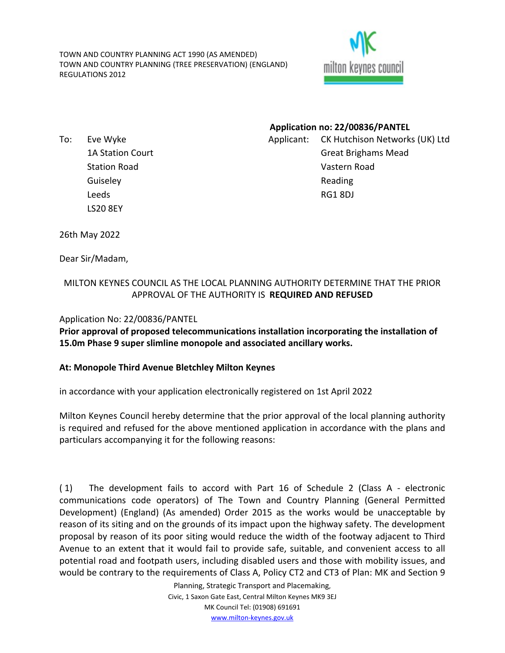TOWN AND COUNTRY PLANNING ACT 1990 (AS AMENDED) TOWN AND COUNTRY PLANNING (TREE PRESERVATION) (ENGLAND) REGULATIONS 2012



To: Eve Wyke 1A Station Court Station Road **Guiseley** Leeds LS20 8EY

**Application no: 22/00836/PANTEL** Applicant: CK Hutchison Networks (UK) Ltd Great Brighams Mead Vastern Road Reading RG1 8DJ

26th May 2022

Dear Sir/Madam,

## MILTON KEYNES COUNCIL AS THE LOCAL PLANNING AUTHORITY DETERMINE THAT THE PRIOR APPROVAL OF THE AUTHORITY IS **REQUIRED AND REFUSED**

## Application No: 22/00836/PANTEL

**Prior approval of proposed telecommunications installation incorporating the installation of 15.0m Phase 9 super slimline monopole and associated ancillary works.**

## **At: Monopole Third Avenue Bletchley Milton Keynes**

in accordance with your application electronically registered on 1st April 2022

Milton Keynes Council hereby determine that the prior approval of the local planning authority is required and refused for the above mentioned application in accordance with the plans and particulars accompanying it for the following reasons:

( 1) The development fails to accord with Part 16 of Schedule 2 (Class A - electronic communications code operators) of The Town and Country Planning (General Permitted Development) (England) (As amended) Order 2015 as the works would be unacceptable by reason of its siting and on the grounds of its impact upon the highway safety. The development proposal by reason of its poor siting would reduce the width of the footway adjacent to Third Avenue to an extent that it would fail to provide safe, suitable, and convenient access to all potential road and footpath users, including disabled users and those with mobility issues, and would be contrary to the requirements of Class A, Policy CT2 and CT3 of Plan: MK and Section 9

> Planning, Strategic Transport and Placemaking, Civic, 1 Saxon Gate East, Central Milton Keynes MK9 3EJ MK Council Tel: (01908) 691691 [www.milton-keynes.gov.uk](http://www.milton-keynes.gov.uk/)